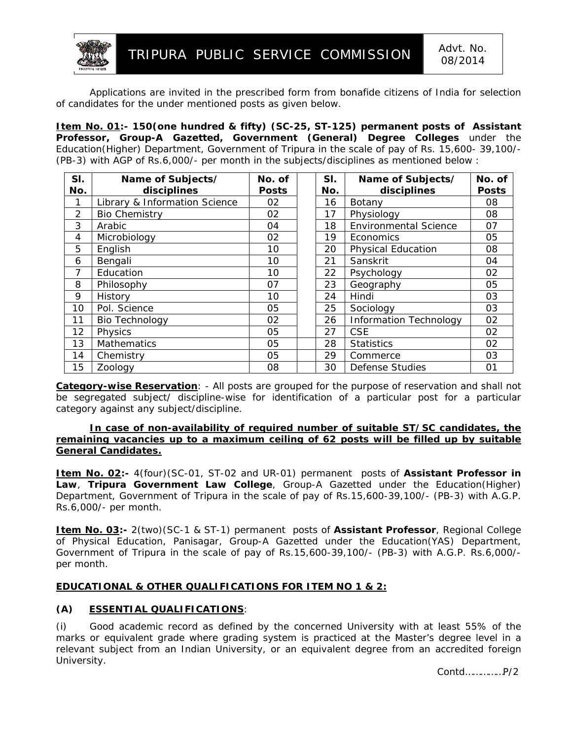

Applications are invited in the prescribed form from bonafide citizens of India for selection of candidates for the under mentioned posts as given below.

**Item No. 01:- 150(one hundred & fifty) (SC-25, ST-125) permanent posts of Assistant Professor, Group-A Gazetted, Government (General) Degree Colleges** under the Education(Higher) Department, Government of Tripura in the scale of pay of Rs. 15,600- 39,100/- (PB-3) with AGP of Rs.6,000/- per month in the subjects/disciplines as mentioned below :

| SI.<br>No. | Name of Subjects/<br>disciplines | No. of       | SI.<br>No. | Name of Subjects/<br>disciplines | No. of<br><b>Posts</b> |
|------------|----------------------------------|--------------|------------|----------------------------------|------------------------|
|            |                                  | <b>Posts</b> |            |                                  |                        |
| 1          | Library & Information Science    | 02           | 16         | Botany                           | 08                     |
| 2          | <b>Bio Chemistry</b>             | 02           | 17         | Physiology                       | 08                     |
| 3          | Arabic                           | 04           | 18         | <b>Environmental Science</b>     | 07                     |
| 4          | Microbiology                     | 02           | 19         | Economics                        | 05                     |
| 5          | English                          | 10           | 20         | <b>Physical Education</b>        | 08                     |
| 6          | Bengali                          | 10           | 21         | Sanskrit                         | 04                     |
| 7          | Education                        | 10           | 22         | Psychology                       | 02                     |
| 8          | Philosophy                       | 07           | 23         | Geography                        | 05                     |
| 9          | History                          | 10           | 24         | Hindi                            | 03                     |
| 10         | Pol. Science                     | 05           | 25         | Sociology                        | 03                     |
| 11         | <b>Bio Technology</b>            | 02           | 26         | <b>Information Technology</b>    | 02                     |
| 12         | Physics                          | 05           | 27         | <b>CSE</b>                       | 02                     |
| 13         | <b>Mathematics</b>               | 05           | 28         | <b>Statistics</b>                | 02                     |
| 14         | Chemistry                        | 05           | 29         | Commerce                         | 03                     |
| 15         | Zoology                          | 08           | 30         | Defense Studies                  | 01                     |

**Category-wise Reservation**: - All posts are grouped for the purpose of reservation and shall not be segregated subject/ discipline-wise for identification of a particular post for a particular category against any subject/discipline.

## **In case of non-availability of required number of suitable ST/SC candidates, the remaining vacancies up to a maximum ceiling of 62 posts will be filled up by suitable General Candidates.**

**Item No. 02:-** 4(four)(SC-01, ST-02 and UR-01) permanent posts of **Assistant Professor in Law**, **Tripura Government Law College**, Group-A Gazetted under the Education(Higher) Department, Government of Tripura in the scale of pay of Rs.15,600-39,100/- (PB-3) with A.G.P. Rs.6,000/- per month.

**Item No. 03:-** 2(two)(SC-1 & ST-1) permanent posts of **Assistant Professor**, Regional College of Physical Education, Panisagar, Group-A Gazetted under the Education(YAS) Department, Government of Tripura in the scale of pay of Rs.15,600-39,100/- (PB-3) with A.G.P. Rs.6,000/ per month.

## **EDUCATIONAL & OTHER QUALIFICATIONS FOR ITEM NO 1 & 2:**

# **(A) ESSENTIAL QUALIFICATIONS**:

(i) Good academic record as defined by the concerned University with at least 55% of the marks or equivalent grade where grading system is practiced at the Master's degree level in a relevant subject from an Indian University, or an equivalent degree from an accredited foreign University.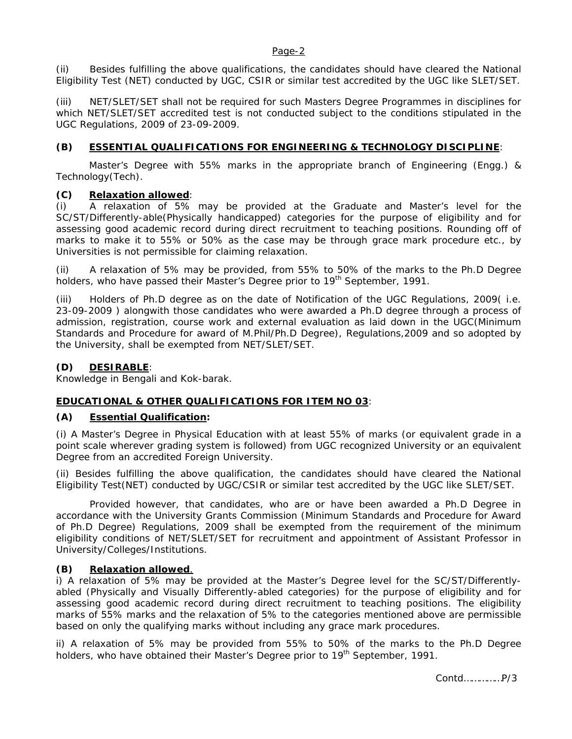### Page-2

(ii) Besides fulfilling the above qualifications, the candidates should have cleared the National Eligibility Test (NET) conducted by UGC, CSIR or similar test accredited by the UGC like SLET/SET.

(iii) NET/SLET/SET shall not be required for such Masters Degree Programmes in disciplines for which NET/SLET/SET accredited test is not conducted subject to the conditions stipulated in the UGC Regulations, 2009 of 23-09-2009.

## **(B) ESSENTIAL QUALIFICATIONS FOR ENGINEERING & TECHNOLOGY DISCIPLINE**:

Master's Degree with 55% marks in the appropriate branch of Engineering (Engg.) & Technology(Tech).

## **(C) Relaxation allowed**:

(i) A relaxation of 5% may be provided at the Graduate and Master's level for the SC/ST/Differently-able(Physically handicapped) categories for the purpose of eligibility and for assessing good academic record during direct recruitment to teaching positions. Rounding off of marks to make it to 55% or 50% as the case may be through grace mark procedure etc., by Universities is not permissible for claiming relaxation.

(ii) A relaxation of 5% may be provided, from 55% to 50% of the marks to the Ph.D Degree holders, who have passed their Master's Degree prior to 19<sup>th</sup> September, 1991.

(iii) Holders of Ph.D degree as on the date of Notification of the UGC Regulations, 2009( i.e. 23-09-2009 ) alongwith those candidates who were awarded a Ph.D degree through a process of admission, registration, course work and external evaluation as laid down in the UGC(Minimum Standards and Procedure for award of M.Phil/Ph.D Degree), Regulations,2009 and so adopted by the University, shall be exempted from NET/SLET/SET.

### **(D) DESIRABLE**:

Knowledge in Bengali and Kok-barak.

### **EDUCATIONAL & OTHER QUALIFICATIONS FOR ITEM NO 03**:

### **(A) Essential Qualification:**

(i) A Master's Degree in Physical Education with at least 55% of marks (or equivalent grade in a point scale wherever grading system is followed) from UGC recognized University or an equivalent Degree from an accredited Foreign University.

(ii) Besides fulfilling the above qualification, the candidates should have cleared the National Eligibility Test(NET) conducted by UGC/CSIR or similar test accredited by the UGC like SLET/SET.

Provided however, that candidates, who are or have been awarded a Ph.D Degree in accordance with the University Grants Commission (Minimum Standards and Procedure for Award of Ph.D Degree) Regulations, 2009 shall be exempted from the requirement of the minimum eligibility conditions of NET/SLET/SET for recruitment and appointment of Assistant Professor in University/Colleges/Institutions.

## **(B) Relaxation allowed**.

i) A relaxation of 5% may be provided at the Master's Degree level for the SC/ST/Differentlyabled (Physically and Visually Differently-abled categories) for the purpose of eligibility and for assessing good academic record during direct recruitment to teaching positions. The eligibility marks of 55% marks and the relaxation of 5% to the categories mentioned above are permissible based on only the qualifying marks without including any grace mark procedures.

ii) A relaxation of 5% may be provided from 55% to 50% of the marks to the Ph.D Degree holders, who have obtained their Master's Degree prior to 19<sup>th</sup> September, 1991.

Contd……………P/3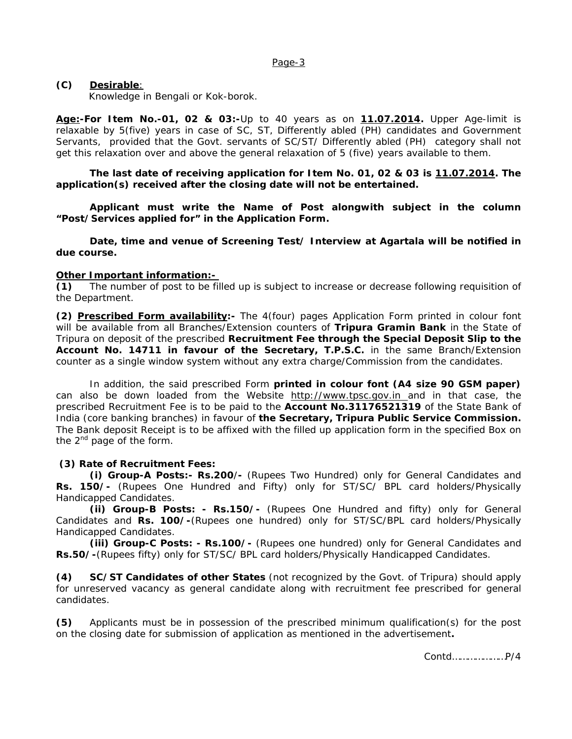#### Page-3

## **(C) Desirable**:

Knowledge in Bengali or Kok-borok.

**Age:-For Item No.-01, 02 & 03:-**Up to 40 years as on **11.07.2014.** Upper Age-limit is relaxable by 5(five) years in case of SC, ST, Differently abled (PH) candidates and Government Servants, provided that the Govt. servants of SC/ST/ Differently abled (PH) category shall not get this relaxation over and above the general relaxation of 5 (five) years available to them.

**The last date of receiving application for Item No. 01, 02 & 03 is 11.07.2014. The application(s) received after the closing date will not be entertained.** 

**Applicant must write the Name of Post alongwith subject in the column "Post/Services applied for" in the Application Form.** 

**Date, time and venue of Screening Test/ Interview at Agartala will be notified in due course.** 

### **Other Important information:-**

**(1)** The number of post to be filled up is subject to increase or decrease following requisition of the Department.

**(2) Prescribed Form availability:-** The 4(four) pages Application Form printed in colour font will be available from all Branches/Extension counters of **Tripura Gramin Bank** in the State of Tripura on deposit of the prescribed **Recruitment Fee through the Special Deposit Slip to the Account No. 14711 in favour of the Secretary, T.P.S.C.** in the same Branch/Extension counter as a single window system without any extra charge/Commission from the candidates.

In addition, the said prescribed Form **printed in colour font (A4 size 90 GSM paper)**  can also be down loaded from the Website http://www.tpsc.gov.in and in that case, the prescribed Recruitment Fee is to be paid to the **Account No.31176521319** of the State Bank of India (core banking branches) in favour of **the Secretary, Tripura Public Service Commission.** The Bank deposit Receipt is to be affixed with the filled up application form in the specified Box on the  $2^{nd}$  page of the form.

### **(3) Rate of Recruitment Fees:**

**(i) Group-A Posts:- Rs.200**/**-** (Rupees Two Hundred) only for General Candidates and **Rs. 150/-** (Rupees One Hundred and Fifty) only for ST/SC/ BPL card holders/Physically Handicapped Candidates.

**(ii) Group-B Posts: - Rs.150/-** (Rupees One Hundred and fifty) only for General Candidates and **Rs. 100/-**(Rupees one hundred) only for ST/SC/BPL card holders/Physically Handicapped Candidates.

**(iii) Group-C Posts: - Rs.100/-** (Rupees one hundred) only for General Candidates and **Rs.50/-**(Rupees fifty) only for ST/SC/ BPL card holders/Physically Handicapped Candidates.

**(4) SC/ST Candidates of other States** (not recognized by the Govt. of Tripura) should apply for unreserved vacancy as general candidate along with recruitment fee prescribed for general candidates.

**(5)** Applicants must be in possession of the prescribed minimum qualification(s) for the post on the closing date for submission of application as mentioned in the advertisement**.** 

Contd…………………P/4